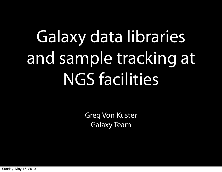# Galaxy data libraries and sample tracking at NGS facilities

Greg Von Kuster Galaxy Team

Sunday, May 16, 2010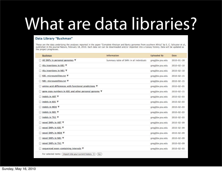#### What are data libraries?

#### Data Library "Bushman"

These are the data underlying the analyses reported in the paper "Complete Khoisan and Bantu genomes from southern Africa" by S. C. Schuster et al., published in the journal Nature, February 18, 2010. Each data set can be downloaded and/or imported into a Galaxy history. Data will be updated as the project progresses.

| <b>Bushman</b>                                                 | Information                              | <b>Uploaded By</b> | Date             |
|----------------------------------------------------------------|------------------------------------------|--------------------|------------------|
| All SNPs in personal genomes V                                 | Summary table of SNPs in all individuals | greg@bx.psu.edu    | $2010 - 01 - 28$ |
| Alu insertions in KB1 V<br>□                                   |                                          | greg@bx.psu.edu    | $2010 - 02 - 10$ |
| Alu insertions in NB1 ₩                                        |                                          | greg@bx.psu.edu    | $2010 - 02 - 10$ |
| KB1 microsatellites.txt V                                      |                                          | greg@bx.psu.edu    | $2010 - 02 - 15$ |
| NB1 microsatellites.txt ▼                                      |                                          | greg@bx.psu.edu    | $2010 - 02 - 15$ |
| amino acid differences with functional predictions ▼           |                                          | greg@bx.psu.edu    | $2010 - 02 - 05$ |
| gene copy numbers in KB1 and other personal genome ▼           |                                          | greg@bx.psu.edu    | $2010 - 02 - 15$ |
| indels in ABT ▼                                                |                                          | greg@bx.psu.edu    | $2010 - 02 - 03$ |
| indels in KB1 ▼                                                |                                          | greg@bx.psu.edu    | $2010 - 02 - 03$ |
| indels in MD8 ▼                                                |                                          | greg@bx.psu.edu    | $2010 - 02 - 03$ |
| indels in NB1 ▼                                                |                                          | greg@bx.psu.edu    | $2010 - 02 - 03$ |
| indels in TK1 V                                                |                                          | greg@bx.psu.edu    | $2010 - 02 - 03$ |
| novel SNPs in ABT ₩                                            |                                          | greg@bx.psu.edu    | $2010 - 02 - 09$ |
| novel SNPs in KB1 ₩                                            |                                          | greg@bx.psu.edu    | $2010 - 02 - 09$ |
| novel SNPs in MD8 ▼                                            |                                          | greg@bx.psu.edu    | $2010 - 02 - 09$ |
| novel SNPs in NB1 ₩                                            |                                          | greg@bx.psu.edu    | $2010 - 02 - 09$ |
| novel SNPs in TK1 ₩<br>∩                                       |                                          | greg@bx.psu.edu    | $2010 - 02 - 09$ |
| sequenced exon-containing intervals V                          |                                          | greg@bx.psu.edu    | $2010 - 02 - 03$ |
| For selected items:   Import into your current history :<br>Go |                                          |                    |                  |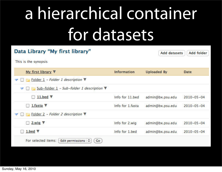## a hierarchical container for datasets

| Data Library "My first library"                                         |                    | <b>Add datasets</b> | Add folder       |
|-------------------------------------------------------------------------|--------------------|---------------------|------------------|
| This is the synopsis                                                    |                    |                     |                  |
| My first library V                                                      | <b>Information</b> | <b>Uploaded By</b>  | <b>Date</b>      |
| Folder 1 - Folder 1 description<br>▼                                    |                    |                     |                  |
| $\triangledown$ $\Box$ Sub-folder 1 - Sub-folder 1 description $\nabla$ |                    |                     |                  |
| $\Box$ 11.bed $\nabla$                                                  | Info for 11, bed   | admin@bx.psu.edu    | $2010 - 05 - 04$ |
| 1.fasta $\P$                                                            | Info for 1.fasta   | admin@bx.psu.edu    | $2010 - 05 - 04$ |
| $\Box$ Folder 2 - Folder 2 description $\Psi$                           |                    |                     |                  |
| 2. wig $\nabla$<br>$\vdash$                                             | Info for 2.wig     | admin@bx.psu.edu    | $2010 - 05 - 04$ |
| $1.$ bed $V$                                                            | Info for 1.bed     | admin@bx.psu.edu    | $2010 - 05 - 04$ |
| For selected items:<br>Edit permissions $\div$<br><b>Go</b>             |                    |                     |                  |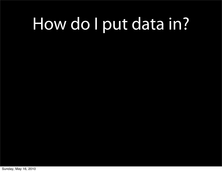#### How do I put data in?

Sunday, May 16, 2010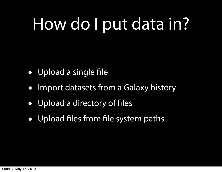## How do I put data in?

- Upload a single file
- Import datasets from a Galaxy history
- Upload a directory of files
- Upload files from file system paths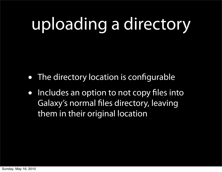## uploading a directory

- The directory location is configurable
- Includes an option to not copy files into Galaxy's normal files directory, leaving them in their original location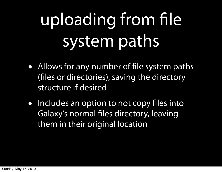# uploading from file system paths

- Allows for any number of file system paths (files or directories), saving the directory structure if desired
- Includes an option to not copy files into Galaxy's normal files directory, leaving them in their original location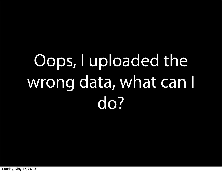# Oops, I uploaded the wrong data, what can I do?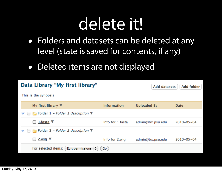#### delete it!

- Folders and datasets can be deleted at any level (state is saved for contents, if any)
- Deleted items are not displayed

| Data Library "My first library"<br>Add folder<br><b>Add datasets</b> |                    |             |  |  |  |  |
|----------------------------------------------------------------------|--------------------|-------------|--|--|--|--|
|                                                                      |                    |             |  |  |  |  |
| <b>Information</b>                                                   | <b>Uploaded By</b> | <b>Date</b> |  |  |  |  |
|                                                                      |                    |             |  |  |  |  |
| Info for 1.fasta                                                     | admin@bx.psu.edu   | 2010-05-04  |  |  |  |  |
|                                                                      |                    |             |  |  |  |  |
| Info for 2.wig                                                       | admin@bx.psu.edu   | 2010-05-04  |  |  |  |  |
| Go                                                                   |                    |             |  |  |  |  |
|                                                                      |                    |             |  |  |  |  |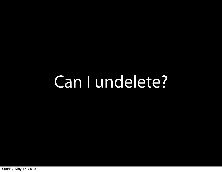#### Can I undelete?

Sunday, May 16, 2010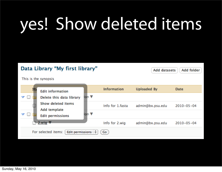## yes! Show deleted items

#### Data Library "My first library"

This is the synopsis

|        | <b>Edit information</b>                   |                          | <b>Information</b> | <b>Uploaded By</b> | <b>Date</b>      |
|--------|-------------------------------------------|--------------------------|--------------------|--------------------|------------------|
|        | Delete this data library                  | ion $\blacktriangledown$ |                    |                    |                  |
|        | <b>Show deleted items</b><br>Add template |                          | Info for 1.fasta   | admin@bx.psu.edu   | $2010 - 05 - 04$ |
| $\Box$ | <b>Edit permissions</b>                   | ion ▼                    |                    |                    |                  |
|        | 2. wig $\nabla$                           |                          | Info for 2.wig     | admin@bx.psu.edu   | $2010 - 05 - 04$ |
|        | For selected items:<br>Edit permissions   | ÷                        | Go.                |                    |                  |

**Add datasets** 

**Add folder**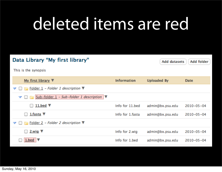#### deleted items are red

| Data Library "My first library"                                                                    | Add folder<br><b>Add datasets</b> |                    |                  |
|----------------------------------------------------------------------------------------------------|-----------------------------------|--------------------|------------------|
| This is the synopsis                                                                               |                                   |                    |                  |
| My first library $\nabla$                                                                          | <b>Information</b>                | <b>Uploaded By</b> | <b>Date</b>      |
| Folder $1$ – Folder 1 description $\nabla$<br>▽                                                    |                                   |                    |                  |
| Sub-folder $1$ - Sub-folder 1 description<br>E<br>$\blacktriangledown$<br>$\overline{\phantom{a}}$ |                                   |                    |                  |
| 11.bed $\nabla$<br>$\Box$                                                                          | Info for 11.bed                   | admin@bx.psu.edu   | $2010 - 05 - 04$ |
| 1.fasta $\nabla$                                                                                   | Info for 1.fasta                  | admin@bx.psu.edu   | $2010 - 05 - 04$ |
| <b>Fig. Folder 2 - Folder 2 description</b><br>▽                                                   |                                   |                    |                  |
| 2.wig $\nabla$<br>$\overline{\phantom{a}}$                                                         | Info for 2.wig                    | admin@bx.psu.edu   | $2010 - 05 - 04$ |
| 1.bed $\triangledown$                                                                              | Info for 1.bed                    | admin@bx.psu.edu   | $2010 - 05 - 04$ |
|                                                                                                    |                                   |                    |                  |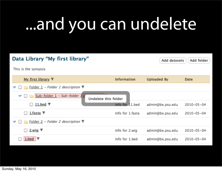#### ...and you can undelete

| Data Library "My first library"                                               | <b>Add datasets</b> | Add folder         |                  |
|-------------------------------------------------------------------------------|---------------------|--------------------|------------------|
| This is the synopsis                                                          |                     |                    |                  |
| My first library $\nabla$                                                     | <b>Information</b>  | <b>Uploaded By</b> | <b>Date</b>      |
| Folder $1$ – Folder 1 description $\nabla$                                    |                     |                    |                  |
| Sub-folder 1 - Sub-folder 1 d<br>$\blacktriangledown$<br>Undelete this folder |                     |                    |                  |
| 11.bed $\nabla$<br>$\overline{\phantom{a}}$                                   | Info for 11.bed     | admin@bx.psu.edu   | $2010 - 05 - 04$ |
| 1.fasta $\nabla$<br><b>Service</b>                                            | Info for 1.fasta    | admin@bx.psu.edu   | $2010 - 05 - 04$ |
| Folder 2 - Folder 2 description $\nabla$                                      |                     |                    |                  |
| 2. wig $\nabla$                                                               | Info for 2.wig      | admin@bx.psu.edu   | $2010 - 05 - 04$ |
| $1.$ bed $\triangledown$                                                      | Info for 1.bed      | admin@bx.psu.edu   | $2010 - 05 - 04$ |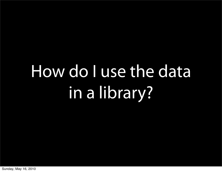# How do I use the data in a library?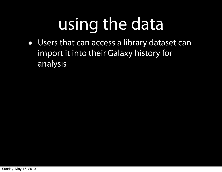## using the data

• Users that can access a library dataset can import it into their Galaxy history for analysis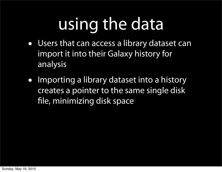## using the data

- Users that can access a library dataset can import it into their Galaxy history for analysis
- Importing a library dataset into a history creates a pointer to the same single disk file, minimizing disk space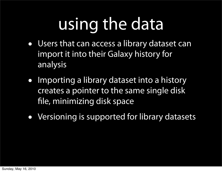## using the data

- Users that can access a library dataset can import it into their Galaxy history for analysis
- Importing a library dataset into a history creates a pointer to the same single disk file, minimizing disk space
- Versioning is supported for library datasets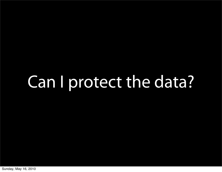#### Can I protect the data?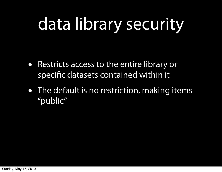## data library security

- Restricts access to the entire library or specific datasets contained within it
- The default is no restriction, making items "public"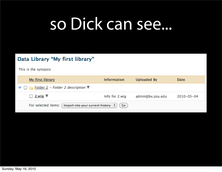#### so Dick can see...

#### Data Library "My first library"

This is the synopsis

| My first library                                                            | <b>Information</b> | Uploaded By      | Date             |
|-----------------------------------------------------------------------------|--------------------|------------------|------------------|
| $\blacktriangledown$ $\Box$ $\Box$ Folder 2 - Folder 2 description $\nabla$ |                    |                  |                  |
| $\Box$ 2.wig $\nabla$                                                       | Info for 2.wig     | admin@bx.psu.edu | $2010 - 05 - 04$ |
| Import into your current history $\phi$ (Go)<br>For selected items: [       |                    |                  |                  |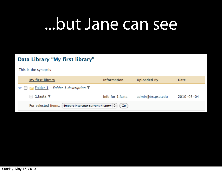#### ...but Jane can see

#### Data Library "My first library"

This is the synopsis

| My first library                                                      | <b>Information</b> | Uploaded By      | Date             |  |  |  |
|-----------------------------------------------------------------------|--------------------|------------------|------------------|--|--|--|
| $\blacktriangledown \square$ Folder 1 - Folder 1 description $\nabla$ |                    |                  |                  |  |  |  |
| $\Box$ 1.fasta $\nabla$                                               | Info for 1.fasta   | admin@bx.psu.edu | $2010 - 05 - 04$ |  |  |  |
| Import into your current history $\phi$ (Go)<br>For selected items:   |                    |                  |                  |  |  |  |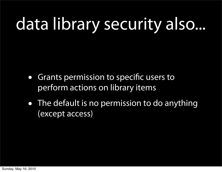## data library security also...

- Grants permission to specific users to perform actions on library items
- The default is no permission to do anything (except access)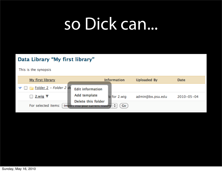#### so Dick can...

#### Data Library "My first library"

This is the synopsis

| My first library             |                                                       | <b>Information</b> | <b>Uploaded By</b> | Date             |
|------------------------------|-------------------------------------------------------|--------------------|--------------------|------------------|
| $F =$ Folder 2 - Folder 2 de | <b>Edit information</b>                               |                    |                    |                  |
| $\Box$ 2.wig $\nabla$        | Add template                                          | o for 2.wig        | admin@bx.psu.edu   | $2010 - 05 - 04$ |
| For selected items:          | Delete this folder<br>Import into your current mstory | Go                 |                    |                  |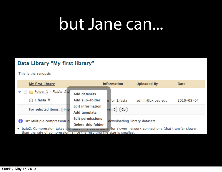#### but Jane can...

#### Data Library "My first library"

#### This is the synopsis

| My first library                                               |                                               | <b>Information</b>            | <b>Uploaded By</b>                                                           | <b>Date</b>      |
|----------------------------------------------------------------|-----------------------------------------------|-------------------------------|------------------------------------------------------------------------------|------------------|
| $\Box$ Folder 1 – Folder 1 di                                  | <b>Add datasets</b>                           |                               |                                                                              |                  |
| 1.fasta $\nabla$                                               | Add sub-folder                                | o for 1.fasta                 | admin@bx.psu.edu                                                             | $2010 - 05 - 04$ |
| For selected items:<br>Impi                                    | <b>Edit information</b><br>Add template       | Go                            |                                                                              |                  |
| TIP: Multiple compression of<br>• bzip2: Compression takes the | <b>Edit permissions</b><br>Delete this folder | downloading library datasets: | most time out is better for slower network connections (that transfer slower |                  |

than the rate of compression) since the resulting file size is smallest.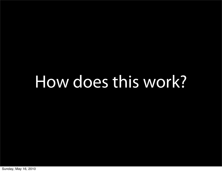#### How does this work?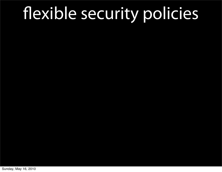Sunday, May 16, 2010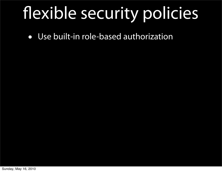• Use built-in role-based authorization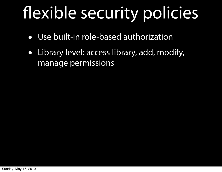- Use built-in role-based authorization
- Library level: access library, add, modify, manage permissions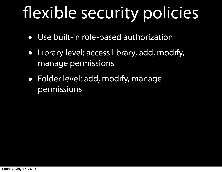- Use built-in role-based authorization
- Library level: access library, add, modify, manage permissions
- Folder level: add, modify, manage permissions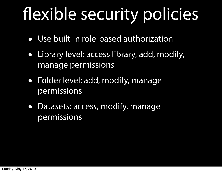- Use built-in role-based authorization
- Library level: access library, add, modify, manage permissions
- Folder level: add, modify, manage permissions
- Datasets: access, modify, manage permissions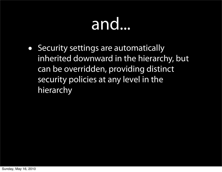#### and...

• Security settings are automatically inherited downward in the hierarchy, but can be overridden, providing distinct security policies at any level in the hierarchy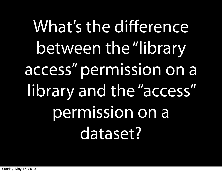What's the difference between the "library access" permission on a library and the "access" permission on a dataset?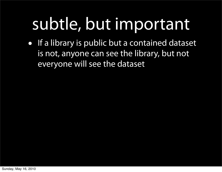#### subtle, but important

• If a library is public but a contained dataset is not, anyone can see the library, but not everyone will see the dataset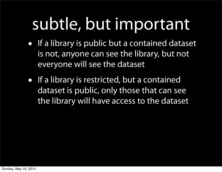#### subtle, but important

- If a library is public but a contained dataset is not, anyone can see the library, but not everyone will see the dataset
- If a library is restricted, but a contained dataset is public, only those that can see the library will have access to the dataset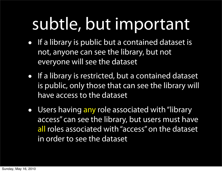#### subtle, but important

- If a library is public but a contained dataset is not, anyone can see the library, but not everyone will see the dataset
- If a library is restricted, but a contained dataset is public, only those that can see the library will have access to the dataset
- Users having any role associated with "library access" can see the library, but users must have all roles associated with "access" on the dataset in order to see the dataset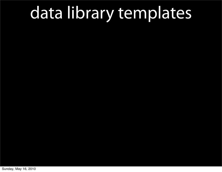Sunday, May 16, 2010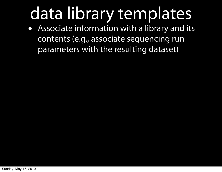• Associate information with a library and its contents (e.g., associate sequencing run parameters with the resulting dataset)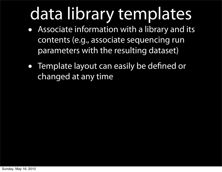- Associate information with a library and its contents (e.g., associate sequencing run parameters with the resulting dataset)
- Template layout can easily be defined or changed at any time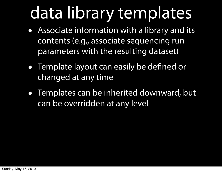- Associate information with a library and its contents (e.g., associate sequencing run parameters with the resulting dataset)
- Template layout can easily be defined or changed at any time
- Templates can be inherited downward, but can be overridden at any level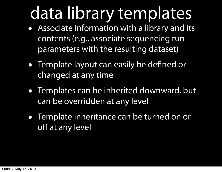- Associate information with a library and its contents (e.g., associate sequencing run parameters with the resulting dataset)
- Template layout can easily be defined or changed at any time
- Templates can be inherited downward, but can be overridden at any level
- Template inheritance can be turned on or off at any level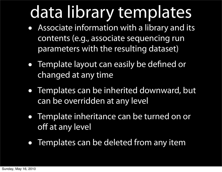- Associate information with a library and its contents (e.g., associate sequencing run parameters with the resulting dataset)
- Template layout can easily be defined or changed at any time
- Templates can be inherited downward, but can be overridden at any level
- Template inheritance can be turned on or off at any level
- Templates can be deleted from any item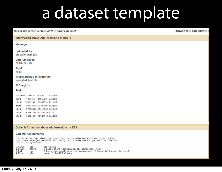#### a dataset template

This is the latest version of this library dataset

**Browse this data library** 

Information about Alu insertions in KB1 ₩

Message:

**Uploaded by:** greg@bx.psu.edu

Date uploaded:  $2010 - 02 - 10$ 

Build:  $hq18$ 

**Miscellaneous information:** uploaded bed file

500 regions

Peek:

1. Chrom 2. Start 3. End 4. Name 4055016 4055320 AluYb8  $chr1$  $chr1$ 26362411 26362721 AluYa5  $chr1$ 28120394 28120699 AluYb8 57015212 57015523 AluYa5 chr1  $chr1$ 62163190 62163528 AluY chr1 62924421 62924746 AluYb8

#### Other information about Alu insertions in KB1

#### **Column Assignments**

This is a tab separated file which reports the detected Alu insertions in the human reference genome (NCBI Bld. 36.1) relative to the KB1 genome. The file has the following columns

| 1. Chron | chr   | chromosome                                                           |
|----------|-------|----------------------------------------------------------------------|
| 2. Start | start | 0 based start position on the chromosome 'chr'                       |
| 3.Fnd    | end   | 0 based end position on the chromosome (0 based half-open start.end) |
| 4. Name  | alu   | name of the ALU element                                              |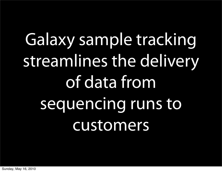# Galaxy sample tracking streamlines the delivery of data from sequencing runs to customers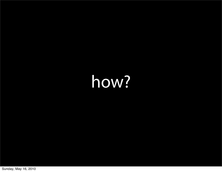#### how?

Sunday, May 16, 2010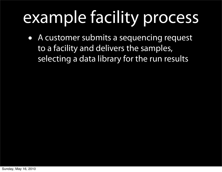• A customer submits a sequencing request to a facility and delivers the samples, selecting a data library for the run results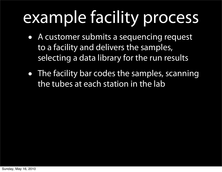- A customer submits a sequencing request to a facility and delivers the samples, selecting a data library for the run results
- The facility bar codes the samples, scanning the tubes at each station in the lab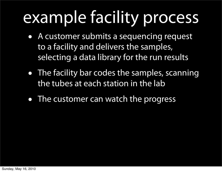- A customer submits a sequencing request to a facility and delivers the samples, selecting a data library for the run results
- The facility bar codes the samples, scanning the tubes at each station in the lab
- The customer can watch the progress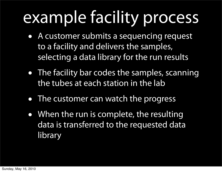- A customer submits a sequencing request to a facility and delivers the samples, selecting a data library for the run results
- The facility bar codes the samples, scanning the tubes at each station in the lab
- The customer can watch the progress
- When the run is complete, the resulting data is transferred to the requested data library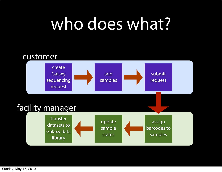#### who does what?



Sunday, May 16, 2010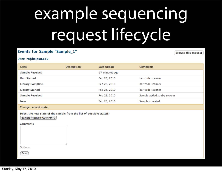## example sequencing request lifecycle

#### **Events for Sample "Sample\_1"**

**Browse this request** 

#### User: rc@bx.psu.edu

| <b>State</b>                                                                                                                                                                                                                        | <b>Description</b> | <b>Last Update</b> | <b>Comments</b>            |
|-------------------------------------------------------------------------------------------------------------------------------------------------------------------------------------------------------------------------------------|--------------------|--------------------|----------------------------|
| <b>Sample Received</b>                                                                                                                                                                                                              |                    | 27 minutes ago     |                            |
| <b>Run Started</b>                                                                                                                                                                                                                  |                    | Feb 25, 2010       | bar code scanner           |
| <b>Library Complete</b>                                                                                                                                                                                                             |                    | Feb 25, 2010       | bar code scanner           |
| <b>Library Started</b>                                                                                                                                                                                                              |                    | Feb 25, 2010       | bar code scanner           |
| <b>Sample Received</b>                                                                                                                                                                                                              |                    | Feb 25, 2010       | Sample added to the system |
| <b>New</b>                                                                                                                                                                                                                          |                    | Feb 25, 2010       | Samples created.           |
| <u>and</u> the contract of the contract of the contract of the contract of the contract of the contract of the contract of the contract of the contract of the contract of the contract of the contract of the contract of the cont |                    |                    |                            |

Change current state

Select the new state of the sample from the list of possible state(s)

Sample Received (Current)  $\div$ 

#### **Comments**

Optional

Save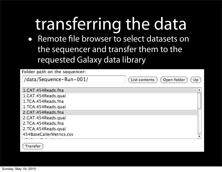#### transferring the data

• Remote file browser to select datasets on the sequencer and transfer them to the requested Galaxy data library

| Folder path on the sequencer: |                                    |
|-------------------------------|------------------------------------|
| /data/Sequence-Run-001/       | Open folder<br>List contents<br>Up |
| 1.CAT.454Reads.fna            |                                    |
| 1.CAT.454Reads.qual           |                                    |
| 1.TCA.454Reads.fna            |                                    |
| 1.TCA.454Reads.qual           |                                    |
| 2.CAT.454Reads.fna            |                                    |
| 2.CAT.454Reads.qual           |                                    |
| 2.TCA.454Reads.fna            |                                    |
| 2.TCA.454Reads.qual           |                                    |
| 454BaseCallerMetrics.csv      |                                    |
|                               |                                    |

Transfer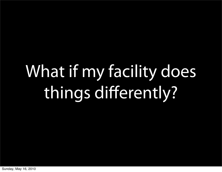# What if my facility does things differently?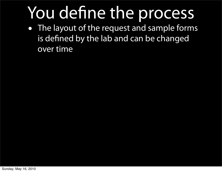• The layout of the request and sample forms is defined by the lab and can be changed over time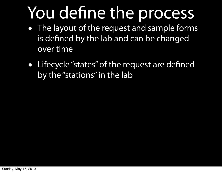- The layout of the request and sample forms is defined by the lab and can be changed over time
- Lifecycle "states" of the request are defined by the "stations" in the lab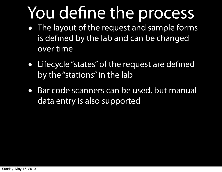- The layout of the request and sample forms is defined by the lab and can be changed over time
- Lifecycle "states" of the request are defined by the "stations" in the lab
- Bar code scanners can be used, but manual data entry is also supported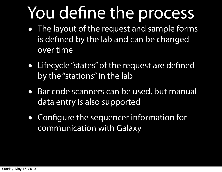- The layout of the request and sample forms is defined by the lab and can be changed over time
- Lifecycle "states" of the request are defined by the "stations" in the lab
- Bar code scanners can be used, but manual data entry is also supported
- Configure the sequencer information for communication with Galaxy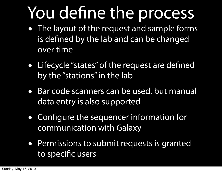- The layout of the request and sample forms is defined by the lab and can be changed over time
- Lifecycle "states" of the request are defined by the "stations" in the lab
- Bar code scanners can be used, but manual data entry is also supported
- Configure the sequencer information for communication with Galaxy
- Permissions to submit requests is granted to specific users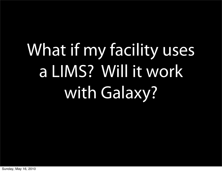# What if my facility uses a LIMS? Will it work with Galaxy?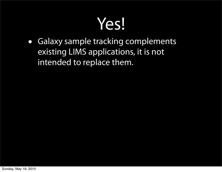#### Yes!

• Galaxy sample tracking complements existing LIMS applications, it is not intended to replace them.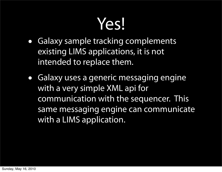#### Yes!

- Galaxy sample tracking complements existing LIMS applications, it is not intended to replace them.
- Galaxy uses a generic messaging engine with a very simple XML api for communication with the sequencer. This same messaging engine can communicate with a LIMS application.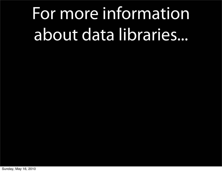## For more information about data libraries...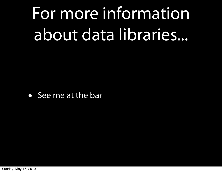## For more information about data libraries...

• See me at the bar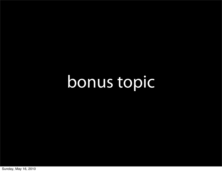### bonus topic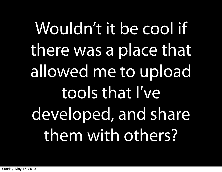# Wouldn't it be cool if there was a place that allowed me to upload tools that I've developed, and share them with others?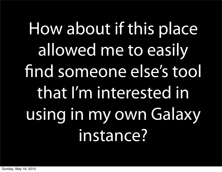# How about if this place allowed me to easily find someone else's tool that I'm interested in using in my own Galaxy instance?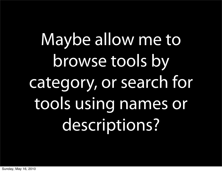Maybe allow me to browse tools by category, or search for tools using names or descriptions?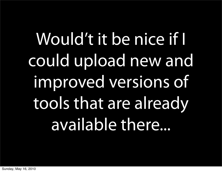Would't it be nice if I could upload new and improved versions of tools that are already available there...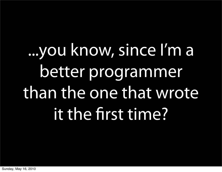# ...you know, since I'm a better programmer than the one that wrote it the first time?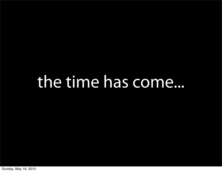#### the time has come...